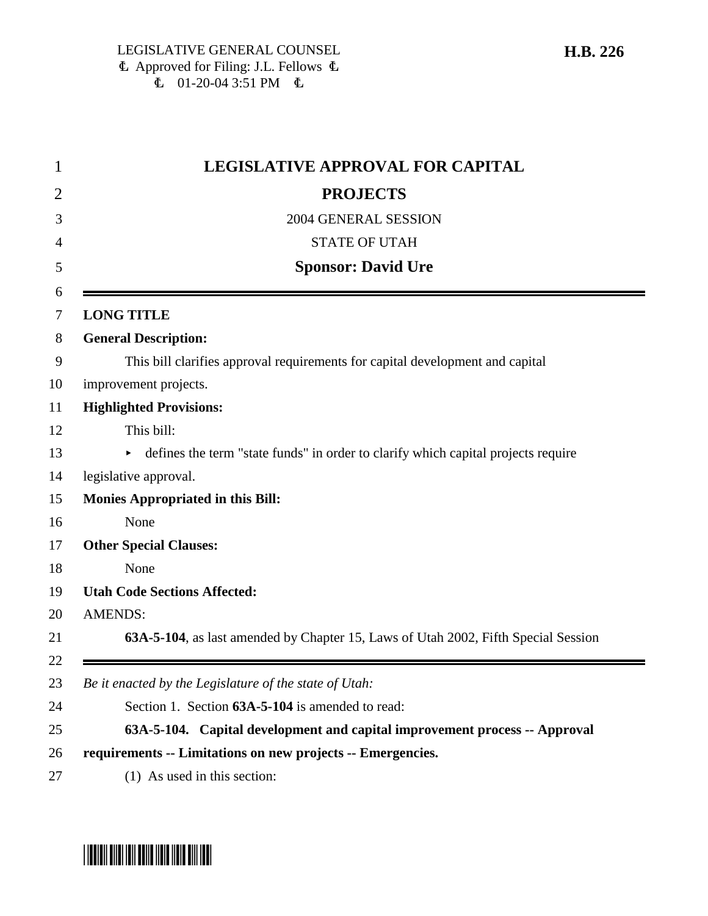| 1      | <b>LEGISLATIVE APPROVAL FOR CAPITAL</b>                                            |
|--------|------------------------------------------------------------------------------------|
| 2      | <b>PROJECTS</b>                                                                    |
| 3      | 2004 GENERAL SESSION                                                               |
| 4      | <b>STATE OF UTAH</b>                                                               |
| 5      | <b>Sponsor: David Ure</b>                                                          |
| 6<br>7 | <b>LONG TITLE</b>                                                                  |
| 8      | <b>General Description:</b>                                                        |
| 9      | This bill clarifies approval requirements for capital development and capital      |
| 10     | improvement projects.                                                              |
| 11     | <b>Highlighted Provisions:</b>                                                     |
| 12     | This bill:                                                                         |
| 13     | defines the term "state funds" in order to clarify which capital projects require  |
| 14     | legislative approval.                                                              |
| 15     | <b>Monies Appropriated in this Bill:</b>                                           |
| 16     | None                                                                               |
| 17     | <b>Other Special Clauses:</b>                                                      |
| 18     | None                                                                               |
| 19     | <b>Utah Code Sections Affected:</b>                                                |
| 20     | <b>AMENDS:</b>                                                                     |
| 21     | 63A-5-104, as last amended by Chapter 15, Laws of Utah 2002, Fifth Special Session |
| 22     |                                                                                    |
| 23     | Be it enacted by the Legislature of the state of Utah:                             |
| 24     | Section 1. Section 63A-5-104 is amended to read:                                   |
| 25     | 63A-5-104. Capital development and capital improvement process -- Approval         |
| 26     | requirements -- Limitations on new projects -- Emergencies.                        |
| 27     | $(1)$ As used in this section:                                                     |

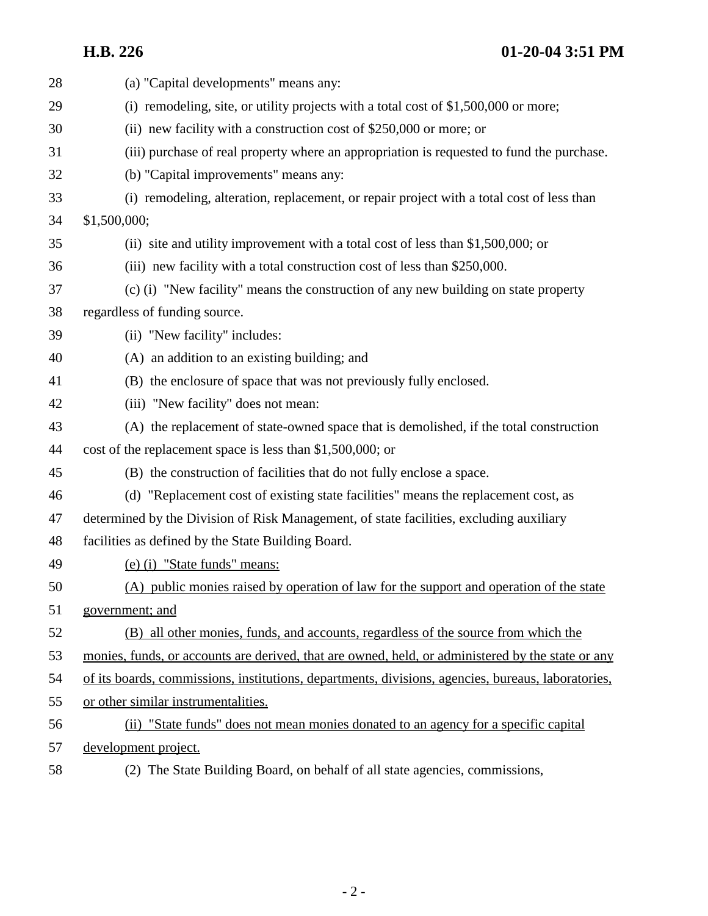**H.B. 226 01-20-04 3:51 PM**

| 28 | (a) "Capital developments" means any:                                                              |
|----|----------------------------------------------------------------------------------------------------|
| 29 | (i) remodeling, site, or utility projects with a total cost of $$1,500,000$ or more;               |
| 30 | (ii) new facility with a construction cost of $$250,000$ or more; or                               |
| 31 | (iii) purchase of real property where an appropriation is requested to fund the purchase.          |
| 32 | (b) "Capital improvements" means any:                                                              |
| 33 | (i) remodeling, alteration, replacement, or repair project with a total cost of less than          |
| 34 | \$1,500,000;                                                                                       |
| 35 | (ii) site and utility improvement with a total cost of less than \$1,500,000; or                   |
| 36 | (iii) new facility with a total construction cost of less than \$250,000.                          |
| 37 | (c) (i) "New facility" means the construction of any new building on state property                |
| 38 | regardless of funding source.                                                                      |
| 39 | (ii) "New facility" includes:                                                                      |
| 40 | (A) an addition to an existing building; and                                                       |
| 41 | (B) the enclosure of space that was not previously fully enclosed.                                 |
| 42 | (iii) "New facility" does not mean:                                                                |
| 43 | (A) the replacement of state-owned space that is demolished, if the total construction             |
| 44 | cost of the replacement space is less than \$1,500,000; or                                         |
| 45 | (B) the construction of facilities that do not fully enclose a space.                              |
| 46 | (d) "Replacement cost of existing state facilities" means the replacement cost, as                 |
| 47 | determined by the Division of Risk Management, of state facilities, excluding auxiliary            |
| 48 | facilities as defined by the State Building Board.                                                 |
| 49 | (e) (i) "State funds" means:                                                                       |
| 50 | (A) public monies raised by operation of law for the support and operation of the state            |
| 51 | government; and                                                                                    |
| 52 | (B) all other monies, funds, and accounts, regardless of the source from which the                 |
| 53 | monies, funds, or accounts are derived, that are owned, held, or administered by the state or any  |
| 54 | of its boards, commissions, institutions, departments, divisions, agencies, bureaus, laboratories, |
| 55 | or other similar instrumentalities.                                                                |
| 56 | (ii) "State funds" does not mean monies donated to an agency for a specific capital                |
| 57 | development project.                                                                               |
|    |                                                                                                    |

58 (2) The State Building Board, on behalf of all state agencies, commissions,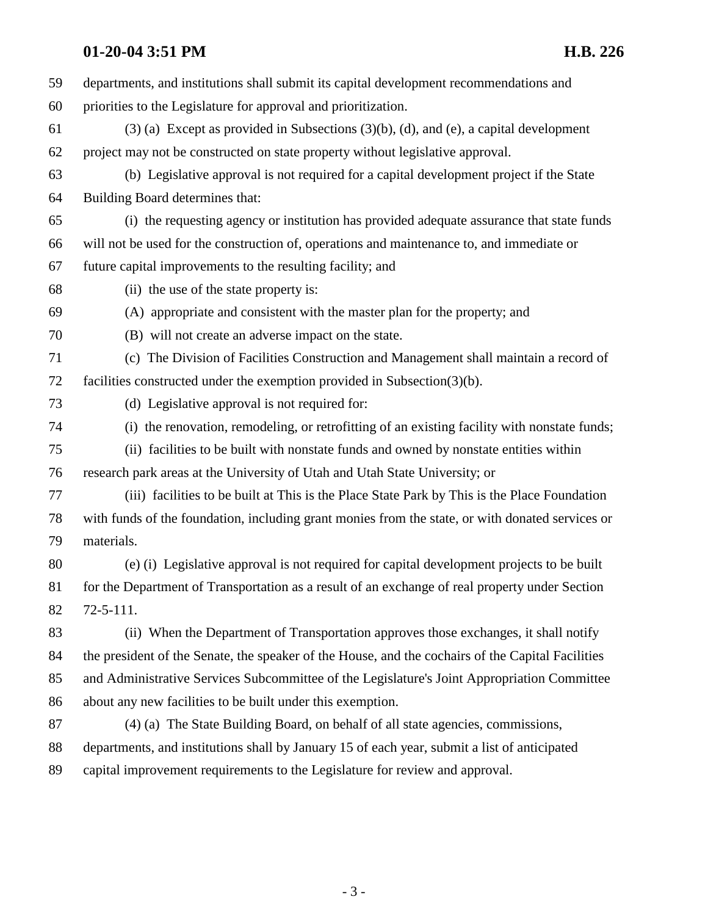# **01-20-04 3:51 PM H.B. 226**

| 59 | departments, and institutions shall submit its capital development recommendations and            |
|----|---------------------------------------------------------------------------------------------------|
| 60 | priorities to the Legislature for approval and prioritization.                                    |
| 61 | $(3)$ (a) Except as provided in Subsections $(3)(b)$ , $(d)$ , and $(e)$ , a capital development  |
| 62 | project may not be constructed on state property without legislative approval.                    |
| 63 | (b) Legislative approval is not required for a capital development project if the State           |
| 64 | Building Board determines that:                                                                   |
| 65 | (i) the requesting agency or institution has provided adequate assurance that state funds         |
| 66 | will not be used for the construction of, operations and maintenance to, and immediate or         |
| 67 | future capital improvements to the resulting facility; and                                        |
| 68 | (ii) the use of the state property is:                                                            |
| 69 | (A) appropriate and consistent with the master plan for the property; and                         |
| 70 | (B) will not create an adverse impact on the state.                                               |
| 71 | (c) The Division of Facilities Construction and Management shall maintain a record of             |
| 72 | facilities constructed under the exemption provided in Subsection(3)(b).                          |
| 73 | (d) Legislative approval is not required for:                                                     |
| 74 | (i) the renovation, remodeling, or retrofitting of an existing facility with nonstate funds;      |
| 75 | (ii) facilities to be built with nonstate funds and owned by nonstate entities within             |
| 76 | research park areas at the University of Utah and Utah State University; or                       |
| 77 | (iii) facilities to be built at This is the Place State Park by This is the Place Foundation      |
| 78 | with funds of the foundation, including grant monies from the state, or with donated services or  |
| 79 | materials.                                                                                        |
| 80 | (e) (i) Legislative approval is not required for capital development projects to be built         |
| 81 | for the Department of Transportation as a result of an exchange of real property under Section    |
| 82 | $72 - 5 - 111.$                                                                                   |
| 83 | (ii) When the Department of Transportation approves those exchanges, it shall notify              |
| 84 | the president of the Senate, the speaker of the House, and the cochairs of the Capital Facilities |
| 85 | and Administrative Services Subcommittee of the Legislature's Joint Appropriation Committee       |
| 86 | about any new facilities to be built under this exemption.                                        |
| 87 | (4) (a) The State Building Board, on behalf of all state agencies, commissions,                   |
| 88 | departments, and institutions shall by January 15 of each year, submit a list of anticipated      |
| 89 | capital improvement requirements to the Legislature for review and approval.                      |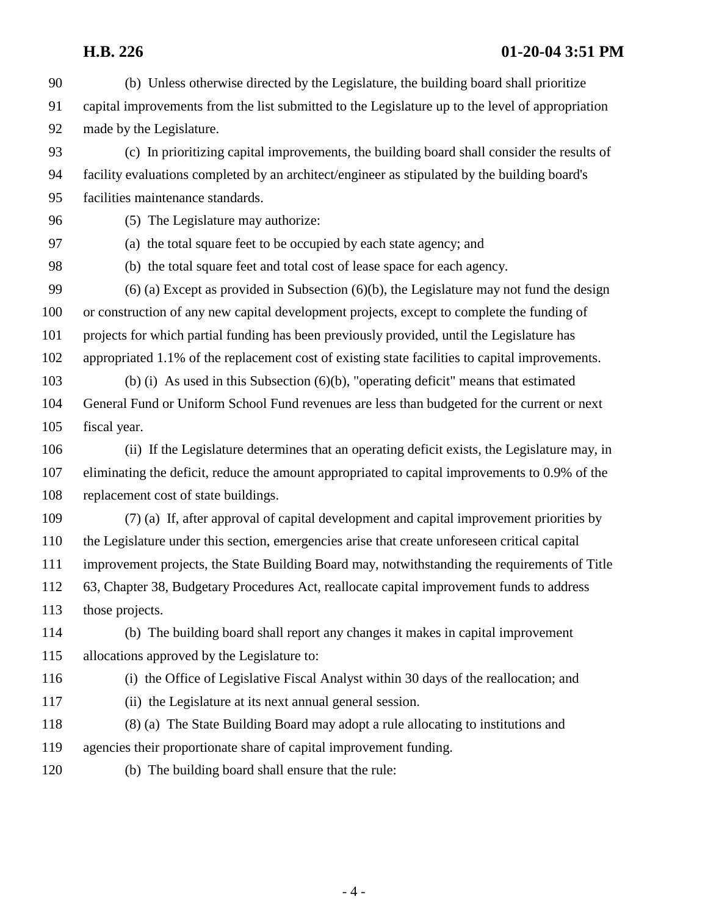### **H.B. 226 01-20-04 3:51 PM**

- 90 (b) Unless otherwise directed by the Legislature, the building board shall prioritize 91 capital improvements from the list submitted to the Legislature up to the level of appropriation 92 made by the Legislature.
- 93 (c) In prioritizing capital improvements, the building board shall consider the results of 94 facility evaluations completed by an architect/engineer as stipulated by the building board's 95 facilities maintenance standards.
- 

96 (5) The Legislature may authorize:

97 (a) the total square feet to be occupied by each state agency; and

98 (b) the total square feet and total cost of lease space for each agency. 99 (6) (a) Except as provided in Subsection (6)(b), the Legislature may not fund the design

100 or construction of any new capital development projects, except to complete the funding of

- 101 projects for which partial funding has been previously provided, until the Legislature has
- 102 appropriated 1.1% of the replacement cost of existing state facilities to capital improvements.

103 (b) (i) As used in this Subsection (6)(b), "operating deficit" means that estimated 104 General Fund or Uniform School Fund revenues are less than budgeted for the current or next 105 fiscal year.

- 106 (ii) If the Legislature determines that an operating deficit exists, the Legislature may, in 107 eliminating the deficit, reduce the amount appropriated to capital improvements to 0.9% of the 108 replacement cost of state buildings.
- 109 (7) (a) If, after approval of capital development and capital improvement priorities by 110 the Legislature under this section, emergencies arise that create unforeseen critical capital 111 improvement projects, the State Building Board may, notwithstanding the requirements of Title 112 63, Chapter 38, Budgetary Procedures Act, reallocate capital improvement funds to address 113 those projects.
- 114 (b) The building board shall report any changes it makes in capital improvement 115 allocations approved by the Legislature to:
- 116 (i) the Office of Legislative Fiscal Analyst within 30 days of the reallocation; and
- 117 (ii) the Legislature at its next annual general session.
- 118 (8) (a) The State Building Board may adopt a rule allocating to institutions and 119 agencies their proportionate share of capital improvement funding.
- 120 (b) The building board shall ensure that the rule: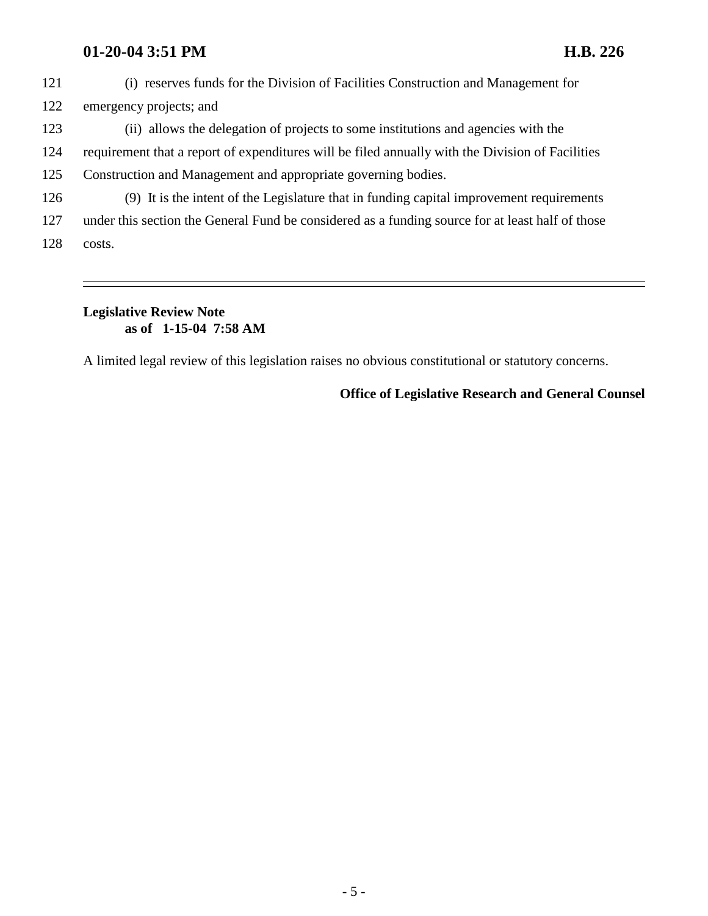### **01-20-04 3:51 PM H.B. 226**

- 121 (i) reserves funds for the Division of Facilities Construction and Management for 122 emergency projects; and
- 123 (ii) allows the delegation of projects to some institutions and agencies with the
- 124 requirement that a report of expenditures will be filed annually with the Division of Facilities
- 125 Construction and Management and appropriate governing bodies.
- 126 (9) It is the intent of the Legislature that in funding capital improvement requirements
- 127 under this section the General Fund be considered as a funding source for at least half of those
- 128 costs.

### **Legislative Review Note as of 1-15-04 7:58 AM**

A limited legal review of this legislation raises no obvious constitutional or statutory concerns.

#### **Office of Legislative Research and General Counsel**